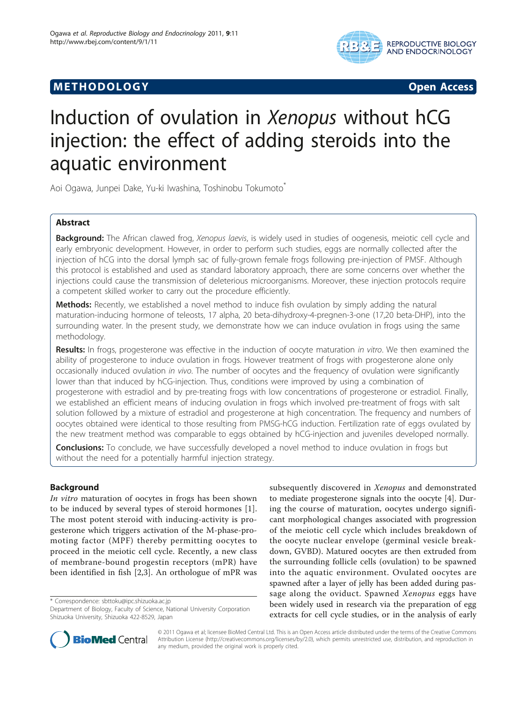# **METHODOLOGY Open Access**



# Induction of ovulation in Xenopus without hCG injection: the effect of adding steroids into the aquatic environment

Aoi Ogawa, Junpei Dake, Yu-ki Iwashina, Toshinobu Tokumoto<sup>\*</sup>

# Abstract

Background: The African clawed frog, Xenopus laevis, is widely used in studies of oogenesis, meiotic cell cycle and early embryonic development. However, in order to perform such studies, eggs are normally collected after the injection of hCG into the dorsal lymph sac of fully-grown female frogs following pre-injection of PMSF. Although this protocol is established and used as standard laboratory approach, there are some concerns over whether the injections could cause the transmission of deleterious microorganisms. Moreover, these injection protocols require a competent skilled worker to carry out the procedure efficiently.

Methods: Recently, we established a novel method to induce fish ovulation by simply adding the natural maturation-inducing hormone of teleosts, 17 alpha, 20 beta-dihydroxy-4-pregnen-3-one (17,20 beta-DHP), into the surrounding water. In the present study, we demonstrate how we can induce ovulation in frogs using the same methodology.

Results: In frogs, progesterone was effective in the induction of oocyte maturation in vitro. We then examined the ability of progesterone to induce ovulation in frogs. However treatment of frogs with progesterone alone only occasionally induced ovulation in vivo. The number of oocytes and the frequency of ovulation were significantly lower than that induced by hCG-injection. Thus, conditions were improved by using a combination of progesterone with estradiol and by pre-treating frogs with low concentrations of progesterone or estradiol. Finally, we established an efficient means of inducing ovulation in frogs which involved pre-treatment of frogs with salt solution followed by a mixture of estradiol and progesterone at high concentration. The frequency and numbers of oocytes obtained were identical to those resulting from PMSG-hCG induction. Fertilization rate of eggs ovulated by the new treatment method was comparable to eggs obtained by hCG-injection and juveniles developed normally.

**Conclusions:** To conclude, we have successfully developed a novel method to induce ovulation in frogs but without the need for a potentially harmful injection strategy.

# Background

In vitro maturation of oocytes in frogs has been shown to be induced by several types of steroid hormones [[1](#page-5-0)]. The most potent steroid with inducing-activity is progesterone which triggers activation of the M-phase-promoting factor (MPF) thereby permitting oocytes to proceed in the meiotic cell cycle. Recently, a new class of membrane-bound progestin receptors (mPR) have been identified in fish [[2,3](#page-5-0)]. An orthologue of mPR was

\* Correspondence: [sbttoku@ipc.shizuoka.ac.jp](mailto:sbttoku@ipc.shizuoka.ac.jp)

subsequently discovered in Xenopus and demonstrated to mediate progesterone signals into the oocyte [[4\]](#page-5-0). During the course of maturation, oocytes undergo significant morphological changes associated with progression of the meiotic cell cycle which includes breakdown of the oocyte nuclear envelope (germinal vesicle breakdown, GVBD). Matured oocytes are then extruded from the surrounding follicle cells (ovulation) to be spawned into the aquatic environment. Ovulated oocytes are spawned after a layer of jelly has been added during passage along the oviduct. Spawned Xenopus eggs have been widely used in research via the preparation of egg extracts for cell cycle studies, or in the analysis of early



© 2011 Ogawa et al; licensee BioMed Central Ltd. This is an Open Access article distributed under the terms of the Creative Commons Attribution License [\(http://creativecommons.org/licenses/by/2.0](http://creativecommons.org/licenses/by/2.0)), which permits unrestricted use, distribution, and reproduction in any medium, provided the original work is properly cited.

Department of Biology, Faculty of Science, National University Corporation Shizuoka University, Shizuoka 422-8529, Japan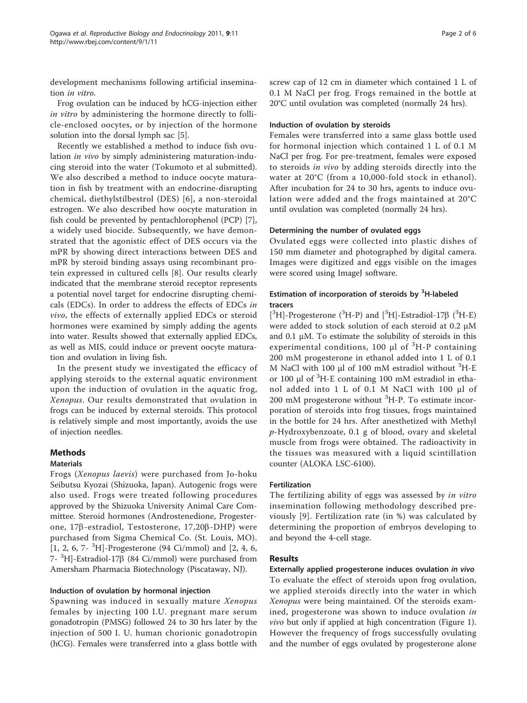development mechanisms following artificial insemination in vitro.

Frog ovulation can be induced by hCG-injection either in vitro by administering the hormone directly to follicle-enclosed oocytes, or by injection of the hormone solution into the dorsal lymph sac [[5\]](#page-5-0).

Recently we established a method to induce fish ovulation in vivo by simply administering maturation-inducing steroid into the water (Tokumoto et al submitted). We also described a method to induce oocyte maturation in fish by treatment with an endocrine-disrupting chemical, diethylstilbestrol (DES) [[6](#page-5-0)], a non-steroidal estrogen. We also described how oocyte maturation in fish could be prevented by pentachlorophenol (PCP) [\[7](#page-5-0)], a widely used biocide. Subsequently, we have demonstrated that the agonistic effect of DES occurs via the mPR by showing direct interactions between DES and mPR by steroid binding assays using recombinant protein expressed in cultured cells [[8](#page-5-0)]. Our results clearly indicated that the membrane steroid receptor represents a potential novel target for endocrine disrupting chemicals (EDCs). In order to address the effects of EDCs in vivo, the effects of externally applied EDCs or steroid hormones were examined by simply adding the agents into water. Results showed that externally applied EDCs, as well as MIS, could induce or prevent oocyte maturation and ovulation in living fish.

In the present study we investigated the efficacy of applying steroids to the external aquatic environment upon the induction of ovulation in the aquatic frog, Xenopus. Our results demonstrated that ovulation in frogs can be induced by external steroids. This protocol is relatively simple and most importantly, avoids the use of injection needles.

# Methods

### Materials

Frogs (Xenopus laevis) were purchased from Jo-hoku Seibutsu Kyozai (Shizuoka, Japan). Autogenic frogs were also used. Frogs were treated following procedures approved by the Shizuoka University Animal Care Committee. Steroid hormones (Androstenedione, Progesterone, 17b-estradiol, Testosterone, 17,20b-DHP) were purchased from Sigma Chemical Co. (St. Louis, MO). [1, 2, 6, 7- <sup>3</sup> H]-Progesterone (94 Ci/mmol) and [2, 4, 6,  $7-$ <sup>3</sup>H]-Estradiol-17 $\beta$  (84 Ci/mmol) were purchased from Amersham Pharmacia Biotechnology (Piscataway, NJ).

### Induction of ovulation by hormonal injection

Spawning was induced in sexually mature Xenopus females by injecting 100 I.U. pregnant mare serum gonadotropin (PMSG) followed 24 to 30 hrs later by the injection of 500 I. U. human chorionic gonadotropin (hCG). Females were transferred into a glass bottle with screw cap of 12 cm in diameter which contained 1 L of 0.1 M NaCl per frog. Frogs remained in the bottle at 20°C until ovulation was completed (normally 24 hrs).

#### Induction of ovulation by steroids

Females were transferred into a same glass bottle used for hormonal injection which contained 1 L of 0.1 M NaCl per frog. For pre-treatment, females were exposed to steroids in vivo by adding steroids directly into the water at 20°C (from a 10,000-fold stock in ethanol). After incubation for 24 to 30 hrs, agents to induce ovulation were added and the frogs maintained at 20°C until ovulation was completed (normally 24 hrs).

#### Determining the number of ovulated eggs

Ovulated eggs were collected into plastic dishes of 150 mm diameter and photographed by digital camera. Images were digitized and eggs visible on the images were scored using ImageJ software.

# Estimation of incorporation of steroids by <sup>3</sup>H-labeled tracers

[ ${}^{3}$ H]-Progesterone ( ${}^{3}$ H-P) and [ ${}^{3}$ H]-Estradiol-17 $\beta$  ( ${}^{3}$ H-E) were added to stock solution of each steroid at 0.2 μM and 0.1  $\mu$ M. To estimate the solubility of steroids in this experimental conditions, 100  $\mu$ l of <sup>3</sup>H-P containing 200 mM progesterone in ethanol added into 1 L of 0.1 M NaCl with 100 μl of 100 mM estradiol without <sup>3</sup> H-E or 100 μl of <sup>3</sup> H-E containing 100 mM estradiol in ethanol added into 1 L of 0.1 M NaCl with 100 μl of 200 mM progesterone without <sup>3</sup>H-P. To estimate incorporation of steroids into frog tissues, frogs maintained in the bottle for 24 hrs. After anesthetized with Methyl p-Hydroxybenzoate, 0.1 g of blood, ovary and skeletal muscle from frogs were obtained. The radioactivity in the tissues was measured with a liquid scintillation counter (ALOKA LSC-6100).

### Fertilization

The fertilizing ability of eggs was assessed by in vitro insemination following methodology described previously [[9\]](#page-5-0). Fertilization rate (in %) was calculated by determining the proportion of embryos developing to and beyond the 4-cell stage.

### Results

Externally applied progesterone induces ovulation in vivo To evaluate the effect of steroids upon frog ovulation, we applied steroids directly into the water in which Xenopus were being maintained. Of the steroids examined, progesterone was shown to induce ovulation in vivo but only if applied at high concentration (Figure [1](#page-2-0)). However the frequency of frogs successfully ovulating and the number of eggs ovulated by progesterone alone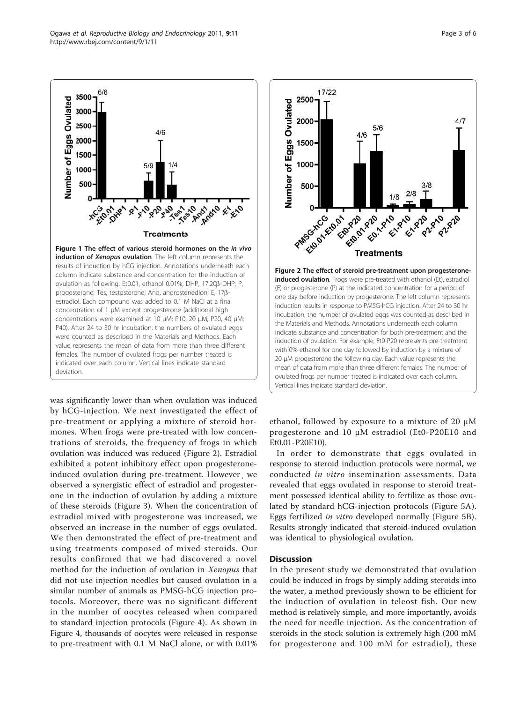induction of Xenopus ovulation. The left column represents the results of induction by hCG injection. Annotations underneath each progesterone; Tes, testosterone; And, androstenedion; E, 17bestradiol. Each compound was added to 0.1 M NaCl at a final concentration of 1 μM except progesterone (additional high concentrations were examined at 10 μM; P10, 20 μM; P20, 40 μM; P40). After 24 to 30 hr incubation, the numbers of ovulated eggs were counted as described in the Materials and Methods. Each value represents the mean of data from more than three different females. The number of ovulated frogs per number treated is indicated over each column. Vertical lines indicate standard deviation.

was significantly lower than when ovulation was induced by hCG-injection. We next investigated the effect of pre-treatment or applying a mixture of steroid hormones. When frogs were pre-treated with low concentrations of steroids, the frequency of frogs in which ovulation was induced was reduced (Figure 2). Estradiol exhibited a potent inhibitory effect upon progesteroneinduced ovulation during pre-treatment. However¸ we observed a synergistic effect of estradiol and progesterone in the induction of ovulation by adding a mixture of these steroids (Figure [3](#page-3-0)). When the concentration of estradiol mixed with progesterone was increased, we observed an increase in the number of eggs ovulated. We then demonstrated the effect of pre-treatment and using treatments composed of mixed steroids. Our results confirmed that we had discovered a novel method for the induction of ovulation in Xenopus that did not use injection needles but caused ovulation in a similar number of animals as PMSG-hCG injection protocols. Moreover, there was no significant different in the number of oocytes released when compared to standard injection protocols (Figure [4\)](#page-3-0). As shown in Figure [4](#page-3-0), thousands of oocytes were released in response to pre-treatment with 0.1 M NaCl alone, or with 0.01%

ethanol, followed by exposure to a mixture of 20 μM progesterone and 10 μM estradiol (Et0-P20E10 and Et0.01-P20E10).

In order to demonstrate that eggs ovulated in response to steroid induction protocols were normal, we conducted in vitro insemination assessments. Data revealed that eggs ovulated in response to steroid treatment possessed identical ability to fertilize as those ovulated by standard hCG-injection protocols (Figure [5A](#page-4-0)). Eggs fertilized in vitro developed normally (Figure [5B](#page-4-0)). Results strongly indicated that steroid-induced ovulation was identical to physiological ovulation.

#### **Discussion**

In the present study we demonstrated that ovulation could be induced in frogs by simply adding steroids into the water, a method previously shown to be efficient for the induction of ovulation in teleost fish. Our new method is relatively simple, and more importantly, avoids the need for needle injection. As the concentration of steroids in the stock solution is extremely high (200 mM for progesterone and 100 mM for estradiol), these

<span id="page-2-0"></span>

 $\mathbf{r}$ 

 $+$ 

 $\ddot{\mathbf{r}}$ 

 $11/$ 

6/6

 $6/6$ 

3500

3000

2500

2000

1500

1000 500

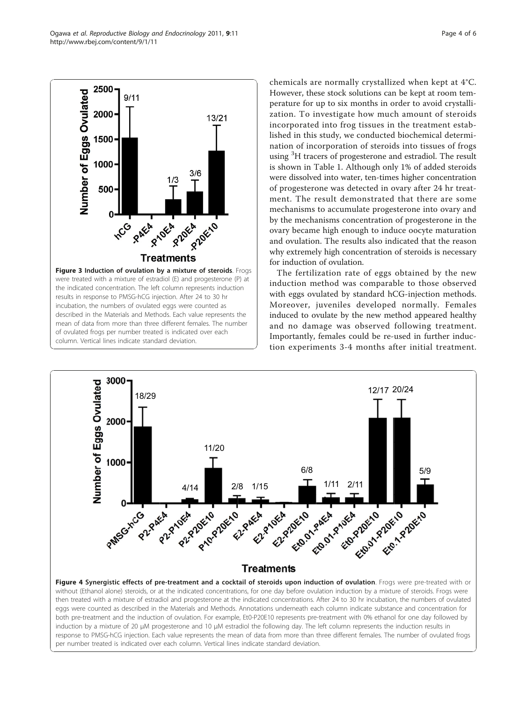<span id="page-3-0"></span>Ogawa et al. Reproductive Biology and Endocrinology 2011, 9:11 http://www.rbej.com/content/9/1/11



chemicals are normally crystallized when kept at 4°C. However, these stock solutions can be kept at room temperature for up to six months in order to avoid crystallization. To investigate how much amount of steroids incorporated into frog tissues in the treatment established in this study, we conducted biochemical determination of incorporation of steroids into tissues of frogs using <sup>3</sup>H tracers of progesterone and estradiol. The result is shown in Table 1. Although only 1% of added steroids were dissolved into water, ten-times higher concentration of progesterone was detected in ovary after 24 hr treatment. The result demonstrated that there are some mechanisms to accumulate progesterone into ovary and by the mechanisms concentration of progesterone in the ovary became high enough to induce oocyte maturation and ovulation. The results also indicated that the reason why extremely high concentration of steroids is necessary for induction of ovulation.

The fertilization rate of eggs obtained by the new induction method was comparable to those observed with eggs ovulated by standard hCG-injection methods. Moreover, juveniles developed normally. Females induced to ovulate by the new method appeared healthy and no damage was observed following treatment. Importantly, females could be re-used in further induction experiments 3-4 months after initial treatment.

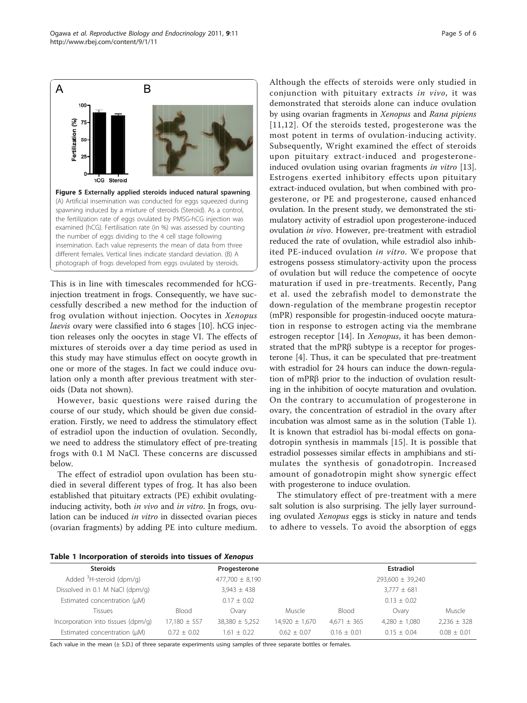This is in line with timescales recommended for hCGinjection treatment in frogs. Consequently, we have successfully described a new method for the induction of frog ovulation without injection. Oocytes in Xenopus laevis ovary were classified into 6 stages [\[10](#page-5-0)]. hCG injection releases only the oocytes in stage VI. The effects of mixtures of steroids over a day time period as used in this study may have stimulus effect on oocyte growth in one or more of the stages. In fact we could induce ovulation only a month after previous treatment with steroids (Data not shown).

However, basic questions were raised during the course of our study, which should be given due consideration. Firstly, we need to address the stimulatory effect of estradiol upon the induction of ovulation. Secondly, we need to address the stimulatory effect of pre-treating frogs with 0.1 M NaCl. These concerns are discussed below.

The effect of estradiol upon ovulation has been studied in several different types of frog. It has also been established that pituitary extracts (PE) exhibit ovulatinginducing activity, both in vivo and in vitro. In frogs, ovulation can be induced in vitro in dissected ovarian pieces (ovarian fragments) by adding PE into culture medium. Although the effects of steroids were only studied in conjunction with pituitary extracts in vivo, it was demonstrated that steroids alone can induce ovulation by using ovarian fragments in Xenopus and Rana pipiens [[11,12\]](#page-5-0). Of the steroids tested, progesterone was the most potent in terms of ovulation-inducing activity. Subsequently, Wright examined the effect of steroids upon pituitary extract-induced and progesterone-induced ovulation using ovarian fragments in vitro [\[13](#page-5-0)]. Estrogens exerted inhibitory effects upon pituitary extract-induced ovulation, but when combined with progesterone, or PE and progesterone, caused enhanced ovulation. In the present study, we demonstrated the stimulatory activity of estradiol upon progesterone-induced ovulation in vivo. However, pre-treatment with estradiol reduced the rate of ovulation, while estradiol also inhibited PE-induced ovulation in vitro. We propose that estrogens possess stimulatory-activity upon the process of ovulation but will reduce the competence of oocyte maturation if used in pre-treatments. Recently, Pang et al. used the zebrafish model to demonstrate the down-regulation of the membrane progestin receptor (mPR) responsible for progestin-induced oocyte maturation in response to estrogen acting via the membrane estrogen receptor [[14\]](#page-5-0). In *Xenopus*, it has been demonstrated that the mPR $\beta$  subtype is a receptor for progesterone [\[4](#page-5-0)]. Thus, it can be speculated that pre-treatment with estradiol for 24 hours can induce the down-regulation of mPRβ prior to the induction of ovulation resulting in the inhibition of oocyte maturation and ovulation. On the contrary to accumulation of progesterone in ovary, the concentration of estradiol in the ovary after incubation was almost same as in the solution (Table 1). It is known that estradiol has bi-modal effects on gonadotropin synthesis in mammals [\[15\]](#page-5-0). It is possible that estradiol possesses similar effects in amphibians and stimulates the synthesis of gonadotropin. Increased amount of gonadotropin might show synergic effect with progesterone to induce ovulation.

The stimulatory effect of pre-treatment with a mere salt solution is also surprising. The jelly layer surrounding ovulated Xenopus eggs is sticky in nature and tends to adhere to vessels. To avoid the absorption of eggs



| <b>Steroids</b>                      | Progesterone        |                    |                    | <b>Estradiol</b> |                   |                 |
|--------------------------------------|---------------------|--------------------|--------------------|------------------|-------------------|-----------------|
| Added <sup>3</sup> H-steroid (dpm/g) | $477,700 \pm 8,190$ |                    |                    | 293,600 ± 39,240 |                   |                 |
| Dissolved in 0.1 M NaCl (dpm/g)      | $3,943 \pm 438$     |                    |                    | $3,777 \pm 681$  |                   |                 |
| Estimated concentration (µM)         | $0.17 \pm 0.02$     |                    |                    | $0.13 + 0.02$    |                   |                 |
| Tissues                              | Blood               | Ovarv              | Muscle             | Blood            | Ovarv             | Muscle          |
| Incorporation into tissues (dpm/g)   | $17,180 \pm 557$    | $38,380 \pm 5,252$ | $14,920 \pm 1,670$ | $4,671 \pm 365$  | $4.280 \pm 1.080$ | $2,236 \pm 328$ |
| Estimated concentration (µM)         | $0.72 + 0.02$       | $1.61 \pm 0.22$    | $0.62 \pm 0.07$    | $0.16 + 0.01$    | $0.15 + 0.04$     | $0.08 \pm 0.01$ |

Each value in the mean (± S.D.) of three separate experiments using samples of three separate bottles or females.

<span id="page-4-0"></span>